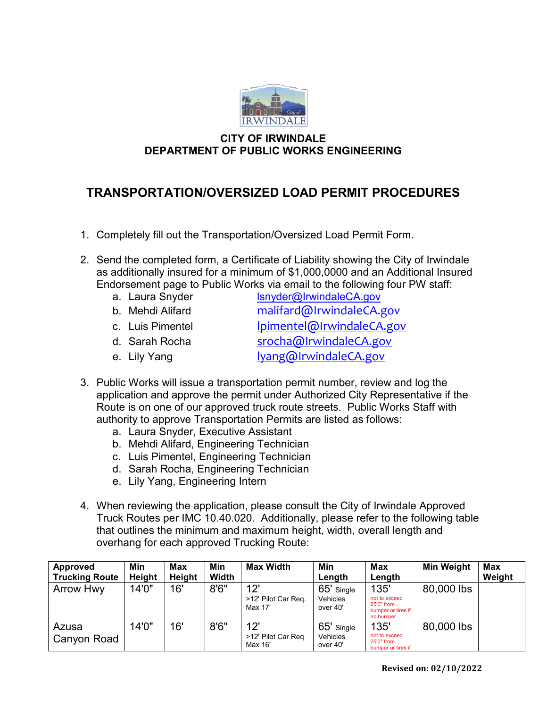

## **CITY OF IRWINDALE DEPARTMENT OF PUBLIC WORKS ENGINEERING**

## **TRANSPORTATION/OVERSIZED LOAD PERMIT PROCEDURES**

- 1. Completely fill out the Transportation/Oversized Load Permit Form.
- 2. Send the completed form, a Certificate of Liability showing the City of Irwindale as additionally insured for a minimum of \$1,000,0000 and an Additional Insured Endorsement page to Public Works via email to the following four PW staff:
	- a. Laura Snyder [lsnyder@IrwindaleCA.gov](mailto:lsnyder@IrwindaleCA.gov) b. Mehdi Alifard malifard@IrwindaleCA.gov c. Luis Pimentel **Ipimentel@IrwindaleCA.gov** d. Sarah Rocha [srocha@IrwindaleCA.gov](mailto:srocha@IrwindaleCA.gov)
	- e. Lily Yang and the lyang alrwindaleCA.gov
- 3. Public Works will issue a transportation permit number, review and log the application and approve the permit under Authorized City Representative if the Route is on one of our approved truck route streets. Public Works Staff with authority to approve Transportation Permits are listed as follows:
	- a. Laura Snyder, Executive Assistant
	- b. Mehdi Alifard, Engineering Technician
	- c. Luis Pimentel, Engineering Technician
	- d. Sarah Rocha, Engineering Technician
	- e. Lily Yang, Engineering Intern
- 4. When reviewing the application, please consult the City of Irwindale Approved Truck Routes per IMC 10.40.020. Additionally, please refer to the following table that outlines the minimum and maximum height, width, overall length and overhang for each approved Trucking Route:

| <b>Approved</b>       | Min           | Max    | Min   | <b>Max Width</b>                      | Min                                       | Max                                                                    | <b>Min Weight</b> | <b>Max</b> |
|-----------------------|---------------|--------|-------|---------------------------------------|-------------------------------------------|------------------------------------------------------------------------|-------------------|------------|
| <b>Trucking Route</b> | <b>Height</b> | Height | Width |                                       | Length                                    | Length                                                                 |                   | Weight     |
| <b>Arrow Hwy</b>      | 14'0"         | 16'    | 8'6'' | 12'<br>>12' Pilot Car Req.<br>Max 17' | 65' Single<br>Vehicles<br>over 40'        | 135'<br>not to exceed<br>25'0" from<br>bumper or tires if<br>no bumper | 80,000 lbs        |            |
| Azusa<br>Canyon Road  | 14'0''        | 16'    | 8'6'' | 12'<br>>12' Pilot Car Reg<br>Max 16'  | 65' Single<br><b>Vehicles</b><br>over 40' | 135'<br>not to exceed<br>25'0" from<br>bumper or tires if              | 80,000 lbs        |            |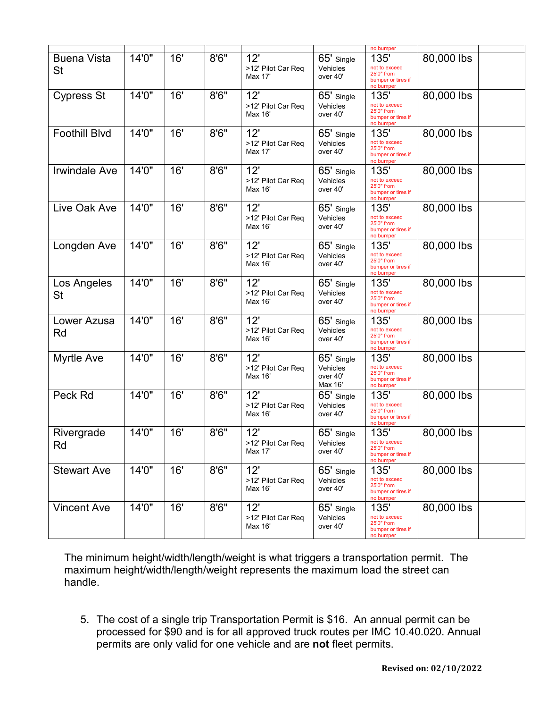|                                 |       |     |       |                                      |                                               | no bumper                                                              |            |  |
|---------------------------------|-------|-----|-------|--------------------------------------|-----------------------------------------------|------------------------------------------------------------------------|------------|--|
| <b>Buena Vista</b><br><b>St</b> | 14'0" | 16' | 8'6'' | 12'<br>>12' Pilot Car Req<br>Max 17' | 65' Single<br>Vehicles<br>over 40'            | 135'<br>not to exceed<br>25'0" from<br>bumper or tires if<br>no bumper | 80,000 lbs |  |
| <b>Cypress St</b>               | 14'0" | 16' | 8'6'' | 12'<br>>12' Pilot Car Req<br>Max 16' | 65' Single<br>Vehicles<br>over 40'            | 135'<br>not to exceed<br>25'0" from<br>bumper or tires if<br>no bumper | 80,000 lbs |  |
| <b>Foothill Blvd</b>            | 14'0" | 16' | 8'6'' | 12'<br>>12' Pilot Car Req<br>Max 17' | 65' Single<br>Vehicles<br>over 40'            | 135'<br>not to exceed<br>25'0" from<br>bumper or tires if<br>no bumper | 80,000 lbs |  |
| <b>Invindale Ave</b>            | 14'0" | 16' | 8'6'' | 12'<br>>12' Pilot Car Req<br>Max 16' | 65' Single<br>Vehicles<br>over 40'            | 135'<br>not to exceed<br>25'0" from<br>bumper or tires if<br>no bumper | 80,000 lbs |  |
| Live Oak Ave                    | 14'0" | 16' | 8'6'' | 12'<br>>12' Pilot Car Req<br>Max 16' | 65' Single<br>Vehicles<br>over 40'            | 135'<br>not to exceed<br>25'0" from<br>bumper or tires if<br>no bumper | 80,000 lbs |  |
| Longden Ave                     | 14'0" | 16' | 8'6'' | 12'<br>>12' Pilot Car Req<br>Max 16' | 65' Single<br>Vehicles<br>over 40'            | 135'<br>not to exceed<br>25'0" from<br>bumper or tires if<br>no bumper | 80,000 lbs |  |
| Los Angeles<br><b>St</b>        | 14'0" | 16' | 8'6'' | 12'<br>>12' Pilot Car Req<br>Max 16' | 65' Single<br>Vehicles<br>over 40'            | 135'<br>not to exceed<br>25'0" from<br>bumper or tires if<br>no bumper | 80,000 lbs |  |
| Lower Azusa<br>Rd               | 14'0" | 16' | 8'6'' | 12'<br>>12' Pilot Car Req<br>Max 16' | 65' Single<br>Vehicles<br>over 40'            | 135'<br>not to exceed<br>25'0" from<br>bumper or tires if<br>no bumper | 80,000 lbs |  |
| <b>Myrtle Ave</b>               | 14'0" | 16' | 8'6'' | 12'<br>>12' Pilot Car Req<br>Max 16' | 65' Single<br>Vehicles<br>over 40'<br>Max 16' | 135'<br>not to exceed<br>25'0" from<br>bumper or tires if<br>no bumper | 80,000 lbs |  |
| Peck Rd                         | 14'0" | 16' | 8'6'' | 12'<br>>12' Pilot Car Req<br>Max 16' | 65' Single<br>Vehicles<br>over 40'            | 135'<br>not to exceed<br>25'0" from<br>bumper or tires if<br>no bumper | 80,000 lbs |  |
| Rivergrade<br>Rd                | 14'0" | 16' | 8'6'' | 12'<br>>12' Pilot Car Req<br>Max 17' | 65' Single<br>Vehicles<br>over 40'            | 135'<br>not to exceed<br>25'0" from<br>bumper or tires if<br>no bumper | 80,000 lbs |  |
| <b>Stewart Ave</b>              | 14'0" | 16' | 8'6'' | 12'<br>>12' Pilot Car Req<br>Max 16' | 65' Single<br>Vehicles<br>over 40'            | 135'<br>not to exceed<br>25'0" from<br>bumper or tires if<br>no bumper | 80,000 lbs |  |
| <b>Vincent Ave</b>              | 14'0" | 16' | 8'6'' | 12'<br>>12' Pilot Car Req<br>Max 16' | 65' Single<br>Vehicles<br>over 40'            | 135'<br>not to exceed<br>25'0" from<br>bumper or tires if<br>no bumper | 80,000 lbs |  |

The minimum height/width/length/weight is what triggers a transportation permit. The maximum height/width/length/weight represents the maximum load the street can handle.

5. The cost of a single trip Transportation Permit is \$16. An annual permit can be processed for \$90 and is for all approved truck routes per IMC 10.40.020. Annual permits are only valid for one vehicle and are **not** fleet permits.